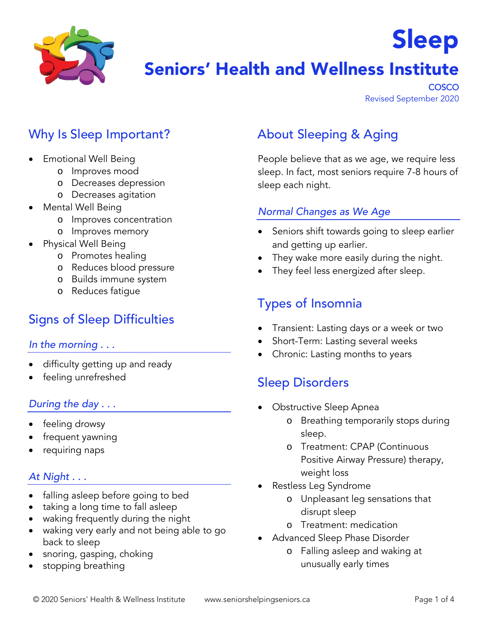

# Seniors' Health and Wellness Institute

**COSCO** Revised September 2020

Sleep

# Why Is Sleep Important?

- Emotional Well Being
	- o Improves mood
	- o Decreases depression
	- o Decreases agitation
- Mental Well Being
	- o Improves concentration
	- o Improves memory
- Physical Well Being
	- o Promotes healing
	- o Reduces blood pressure
	- o Builds immune system
	- o Reduces fatigue

# Signs of Sleep Difficulties

#### *In the morning . . .*

- difficulty getting up and ready
- feeling unrefreshed

### *During the day . . .*

- feeling drowsy
- frequent yawning
- requiring naps

### *At Night . . .*

- falling asleep before going to bed
- taking a long time to fall asleep
- waking frequently during the night
- waking very early and not being able to go back to sleep
- snoring, gasping, choking
- stopping breathing

# About Sleeping & Aging

People believe that as we age, we require less sleep. In fact, most seniors require 7-8 hours of sleep each night.

#### *Normal Changes as We Age*

- Seniors shift towards going to sleep earlier and getting up earlier.
- They wake more easily during the night.
- They feel less energized after sleep.

### Types of Insomnia

- Transient: Lasting days or a week or two
- Short-Term: Lasting several weeks
- Chronic: Lasting months to years

### Sleep Disorders

- Obstructive Sleep Apnea
	- o Breathing temporarily stops during sleep.
	- o Treatment: CPAP (Continuous Positive Airway Pressure) therapy, weight loss
- Restless Leg Syndrome
	- o Unpleasant leg sensations that disrupt sleep
	- o Treatment: medication
- Advanced Sleep Phase Disorder
	- o Falling asleep and waking at unusually early times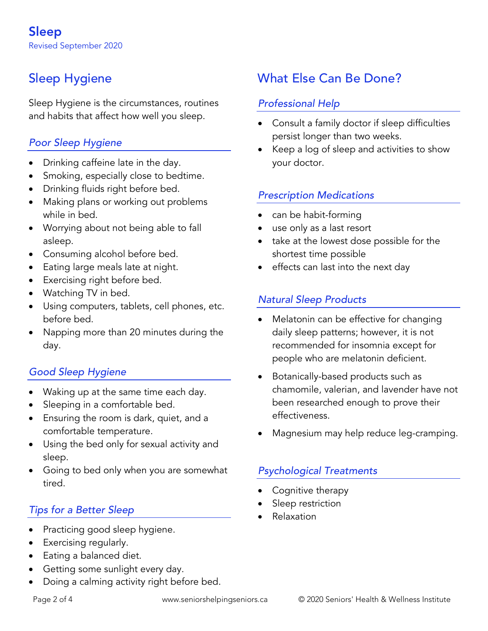# Sleep Hygiene

Sleep Hygiene is the circumstances, routines and habits that affect how well you sleep.

### *Poor Sleep Hygiene*

- Drinking caffeine late in the day.
- Smoking, especially close to bedtime.
- Drinking fluids right before bed.
- Making plans or working out problems while in bed.
- Worrying about not being able to fall asleep.
- Consuming alcohol before bed.
- Eating large meals late at night.
- Exercising right before bed.
- Watching TV in bed.
- Using computers, tablets, cell phones, etc. before bed.
- Napping more than 20 minutes during the day.

### *Good Sleep Hygiene*

- Waking up at the same time each day.
- Sleeping in a comfortable bed.
- Ensuring the room is dark, quiet, and a comfortable temperature.
- Using the bed only for sexual activity and sleep.
- Going to bed only when you are somewhat tired.

### *Tips for a Better Sleep*

- Practicing good sleep hygiene.
- Exercising regularly.
- Eating a balanced diet.
- Getting some sunlight every day.
- Doing a calming activity right before bed.

# What Else Can Be Done?

#### *Professional Help*

- Consult a family doctor if sleep difficulties persist longer than two weeks.
- Keep a log of sleep and activities to show your doctor.

### *Prescription Medications*

- can be habit-forming
- use only as a last resort
- take at the lowest dose possible for the shortest time possible
- effects can last into the next day

### *Natural Sleep Products*

- Melatonin can be effective for changing daily sleep patterns; however, it is not recommended for insomnia except for people who are melatonin deficient.
- Botanically-based products such as chamomile, valerian, and lavender have not been researched enough to prove their effectiveness.
- Magnesium may help reduce leg-cramping.

### *Psychological Treatments*

- Cognitive therapy
- Sleep restriction
- Relaxation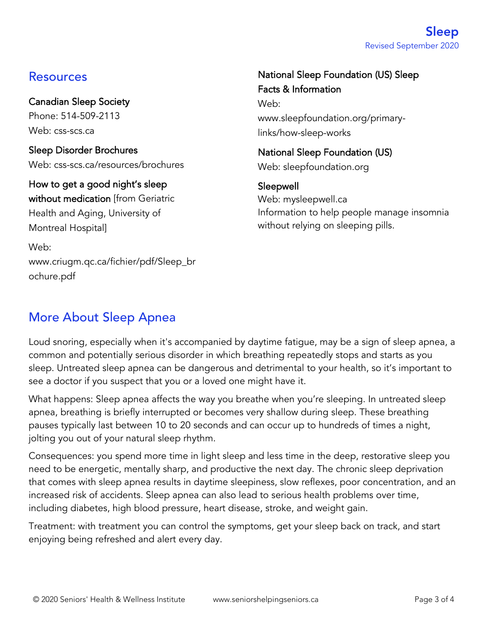### Resources

Canadian Sleep Society Phone: 514-509-2113 Web: css-scs.ca

Sleep Disorder Brochures Web: css-scs.ca/resources/brochures

How to get a good night's sleep without medication [from Geriatric Health and Aging, University of Montreal Hospital]

Web: www.criugm.qc.ca/fichier/pdf/Sleep\_br ochure.pdf

#### National Sleep Foundation (US) Sleep Facts & Information

Web: www.sleepfoundation.org/primarylinks/how-sleep-works

National Sleep Foundation (US) Web: sleepfoundation.org

Sleepwell Web: mysleepwell.ca Information to help people manage insomnia without relying on sleeping pills.

## More About Sleep Apnea

Loud snoring, especially when it's accompanied by daytime fatigue, may be a sign of sleep apnea, a common and potentially serious disorder in which breathing repeatedly stops and starts as you sleep. Untreated sleep apnea can be dangerous and detrimental to your health, so it's important to see a doctor if you suspect that you or a loved one might have it.

What happens: Sleep apnea affects the way you breathe when you're sleeping. In untreated sleep apnea, breathing is briefly interrupted or becomes very shallow during sleep. These breathing pauses typically last between 10 to 20 seconds and can occur up to hundreds of times a night, jolting you out of your natural sleep rhythm.

Consequences: you spend more time in light sleep and less time in the deep, restorative sleep you need to be energetic, mentally sharp, and productive the next day. The chronic sleep deprivation that comes with sleep apnea results in daytime sleepiness, slow reflexes, poor concentration, and an increased risk of accidents. Sleep apnea can also lead to serious health problems over time, including diabetes, high blood pressure, heart disease, stroke, and weight gain.

Treatment: with treatment you can control the symptoms, get your sleep back on track, and start enjoying being refreshed and alert every day.